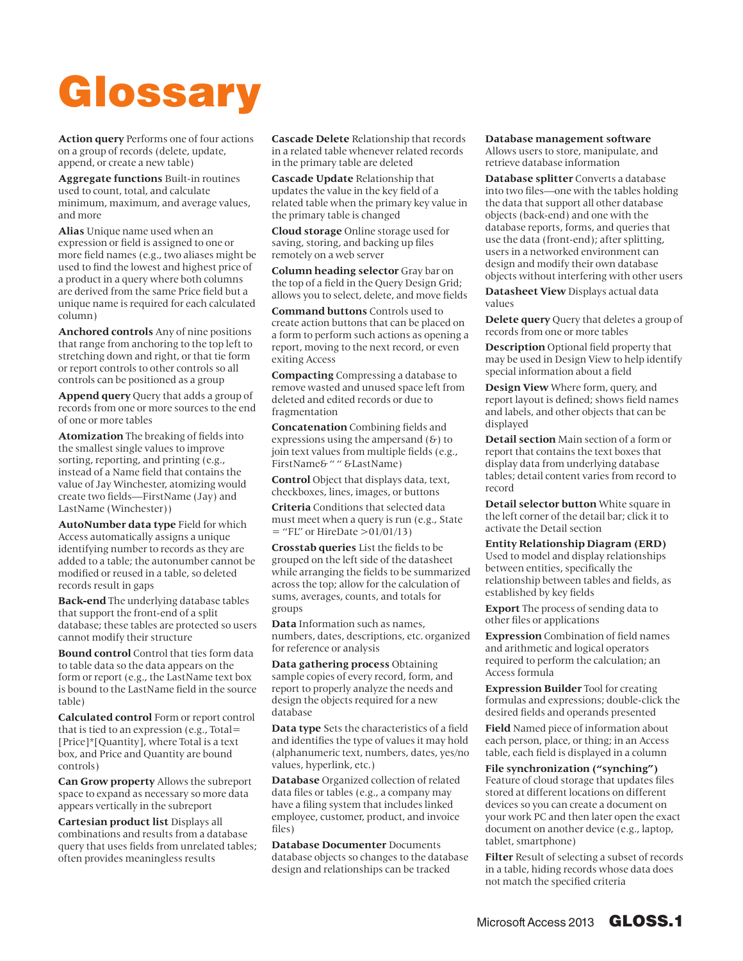## Glossary

**Action query** Performs one of four actions on a group of records (delete, update, append, or create a new table)

**Aggregate functions** Built-in routines used to count, total, and calculate minimum, maximum, and average values, and more

**Alias** Unique name used when an expression or field is assigned to one or more field names (e.g., two aliases might be used to find the lowest and highest price of a product in a query where both columns are derived from the same Price field but a unique name is required for each calculated column)

**Anchored controls** Any of nine positions that range from anchoring to the top left to stretching down and right, or that tie form or report controls to other controls so all controls can be positioned as a group

**Append query** Query that adds a group of records from one or more sources to the end of one or more tables

**Atomization** The breaking of fields into the smallest single values to improve sorting, reporting, and printing (e.g., instead of a Name field that contains the value of Jay Winchester, atomizing would create two fields—FirstName (Jay) and LastName (Winchester))

**AutoNumber data type** Field for which Access automatically assigns a unique identifying number to records as they are added to a table; the autonumber cannot be modified or reused in a table, so deleted records result in gaps

**Back-end** The underlying database tables that support the front-end of a split database; these tables are protected so users cannot modify their structure

**Bound control** Control that ties form data to table data so the data appears on the form or report (e.g., the LastName text box is bound to the LastName field in the source table)

**Calculated control** Form or report control that is tied to an expression (e.g., Total= [Price]\*[Quantity], where Total is a text box, and Price and Quantity are bound controls)

**Can Grow property** Allows the subreport space to expand as necessary so more data appears vertically in the subreport

**Cartesian product list** Displays all combinations and results from a database query that uses fields from unrelated tables; often provides meaningless results

**Cascade Delete** Relationship that records in a related table whenever related records in the primary table are deleted

**Cascade Update** Relationship that updates the value in the key field of a related table when the primary key value in the primary table is changed

**Cloud storage** Online storage used for saving, storing, and backing up files remotely on a web server

**Column heading selector** Gray bar on the top of a field in the Query Design Grid; allows you to select, delete, and move fields

**Command buttons** Controls used to create action buttons that can be placed on a form to perform such actions as opening a report, moving to the next record, or even exiting Access

**Compacting** Compressing a database to remove wasted and unused space left from deleted and edited records or due to fragmentation

**Concatenation** Combining fields and expressions using the ampersand  $(6)$  to join text values from multiple fields (e.g., FirstName& " " &LastName)

**Control** Object that displays data, text, checkboxes, lines, images, or buttons

**Criteria** Conditions that selected data must meet when a query is run (e.g., State  $=$  "FL" or HireDate >01/01/13)

**Crosstab queries** List the fields to be grouped on the left side of the datasheet while arranging the fields to be summarized across the top; allow for the calculation of sums, averages, counts, and totals for groups

**Data** Information such as names, numbers, dates, descriptions, etc. organized for reference or analysis

**Data gathering process** Obtaining sample copies of every record, form, and report to properly analyze the needs and design the objects required for a new database

**Data type** Sets the characteristics of a field and identifies the type of values it may hold (alphanumeric text, numbers, dates, yes/no values, hyperlink, etc.)

**Database** Organized collection of related data files or tables (e.g., a company may have a filing system that includes linked employee, customer, product, and invoice files)

**Database Documenter** Documents database objects so changes to the database design and relationships can be tracked

## **Database management software**

Allows users to store, manipulate, and retrieve database information

**Database splitter** Converts a database into two files—one with the tables holding the data that support all other database objects (back-end) and one with the database reports, forms, and queries that use the data (front-end); after splitting, users in a networked environment can design and modify their own database objects without interfering with other users

**Datasheet View** Displays actual data values

**Delete query** Query that deletes a group of records from one or more tables

**Description** Optional field property that may be used in Design View to help identify special information about a field

**Design View** Where form, query, and report layout is defined; shows field names and labels, and other objects that can be displayed

**Detail section** Main section of a form or report that contains the text boxes that display data from underlying database tables; detail content varies from record to record

**Detail selector button** White square in the left corner of the detail bar; click it to activate the Detail section

**Entity Relationship Diagram (ERD)**

Used to model and display relationships between entities, specifically the relationship between tables and fields, as established by key fields

**Export** The process of sending data to other files or applications

**Expression** Combination of field names and arithmetic and logical operators required to perform the calculation; an Access formula

**Expression Builder** Tool for creating formulas and expressions; double-click the desired fields and operands presented

**Field** Named piece of information about each person, place, or thing; in an Access table, each field is displayed in a column

**File synchronization ("synching")**  Feature of cloud storage that updates files stored at different locations on different devices so you can create a document on your work PC and then later open the exact document on another device (e.g., laptop, tablet, smartphone)

**Filter** Result of selecting a subset of records in a table, hiding records whose data does not match the specified criteria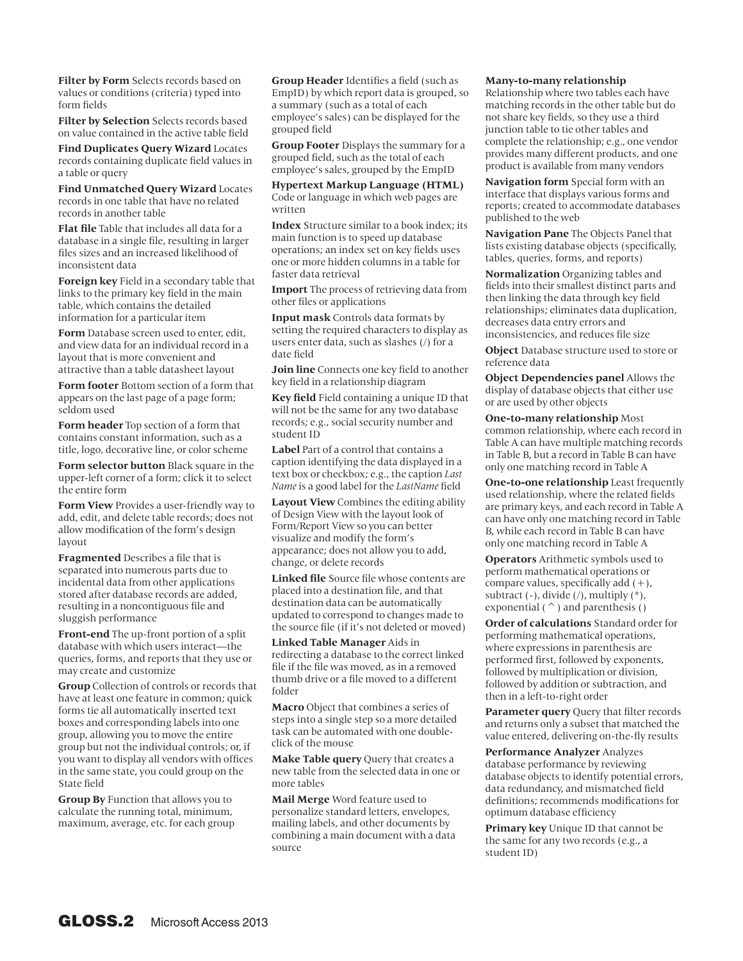**Filter by Form** Selects records based on values or conditions (criteria) typed into form fields

**Filter by Selection** Selects records based on value contained in the active table field

**Find Duplicates Query Wizard** Locates records containing duplicate field values in a table or query

**Find Unmatched Query Wizard** Locates records in one table that have no related records in another table

**Flat file** Table that includes all data for a database in a single file, resulting in larger files sizes and an increased likelihood of inconsistent data

**Foreign key** Field in a secondary table that links to the primary key field in the main table, which contains the detailed information for a particular item

**Form** Database screen used to enter, edit, and view data for an individual record in a layout that is more convenient and attractive than a table datasheet layout

**Form footer** Bottom section of a form that appears on the last page of a page form; seldom used

**Form header** Top section of a form that contains constant information, such as a title, logo, decorative line, or color scheme

**Form selector button** Black square in the upper-left corner of a form; click it to select the entire form

**Form View** Provides a user-friendly way to add, edit, and delete table records; does not allow modification of the form's design layout

**Fragmented** Describes a file that is separated into numerous parts due to incidental data from other applications stored after database records are added, resulting in a noncontiguous file and sluggish performance

**Front-end** The up-front portion of a split database with which users interact—the queries, forms, and reports that they use or may create and customize

**Group** Collection of controls or records that have at least one feature in common; quick forms tie all automatically inserted text boxes and corresponding labels into one group, allowing you to move the entire group but not the individual controls; or, if you want to display all vendors with offices in the same state, you could group on the State field

**Group By** Function that allows you to calculate the running total, minimum, maximum, average, etc. for each group **Group Header** Identifies a field (such as EmpID) by which report data is grouped, so a summary (such as a total of each employee's sales) can be displayed for the grouped field

**Group Footer** Displays the summary for a grouped field, such as the total of each employee's sales, grouped by the EmpID

**Hypertext Markup Language (HTML)**  Code or language in which web pages are written

**Index** Structure similar to a book index; its main function is to speed up database operations; an index set on key fields uses one or more hidden columns in a table for faster data retrieval

**Import** The process of retrieving data from other files or applications

**Input mask** Controls data formats by setting the required characters to display as users enter data, such as slashes (/) for a date field

**Join line** Connects one key field to another key field in a relationship diagram

**Key field** Field containing a unique ID that will not be the same for any two database records; e.g., social security number and student ID

**Label** Part of a control that contains a caption identifying the data displayed in a text box or checkbox; e.g., the caption *Last Name* is a good label for the *LastName* field

**Layout View** Combines the editing ability of Design View with the layout look of Form/Report View so you can better visualize and modify the form's appearance; does not allow you to add, change, or delete records

**Linked file** Source file whose contents are placed into a destination file, and that destination data can be automatically updated to correspond to changes made to the source file (if it's not deleted or moved)

**Linked Table Manager** Aids in redirecting a database to the correct linked file if the file was moved, as in a removed thumb drive or a file moved to a different folder

**Macro** Object that combines a series of steps into a single step so a more detailed task can be automated with one doubleclick of the mouse

**Make Table query** Query that creates a new table from the selected data in one or more tables

**Mail Merge** Word feature used to personalize standard letters, envelopes, mailing labels, and other documents by combining a main document with a data source

## **Many-to-many relationship**

Relationship where two tables each have matching records in the other table but do not share key fields, so they use a third junction table to tie other tables and complete the relationship; e.g., one vendor provides many different products, and one product is available from many vendors

**Navigation form** Special form with an interface that displays various forms and reports; created to accommodate databases published to the web

**Navigation Pane** The Objects Panel that lists existing database objects (specifically, tables, queries, forms, and reports)

**Normalization** Organizing tables and fields into their smallest distinct parts and then linking the data through key field relationships; eliminates data duplication, decreases data entry errors and inconsistencies, and reduces file size

**Object** Database structure used to store or reference data

**Object Dependencies panel** Allows the display of database objects that either use or are used by other objects

**One-to-many relationship** Most common relationship, where each record in Table A can have multiple matching records in Table B, but a record in Table B can have only one matching record in Table A

**One-to-one relationship** Least frequently used relationship, where the related fields are primary keys, and each record in Table A can have only one matching record in Table B, while each record in Table B can have only one matching record in Table A

**Operators** Arithmetic symbols used to perform mathematical operations or compare values, specifically add  $(+)$ , subtract  $(-)$ , divide  $($   $)$ , multiply  $(*$   $)$ , exponential ( $\hat{\ }$ ) and parenthesis ()

**Order of calculations** Standard order for performing mathematical operations, where expressions in parenthesis are performed first, followed by exponents, followed by multiplication or division, followed by addition or subtraction, and then in a left-to-right order

**Parameter query** Query that filter records and returns only a subset that matched the value entered, delivering on-the-fly results

**Performance Analyzer** Analyzes database performance by reviewing database objects to identify potential errors, data redundancy, and mismatched field definitions; recommends modifications for optimum database efficiency

**Primary key** Unique ID that cannot be the same for any two records (e.g., a student ID)